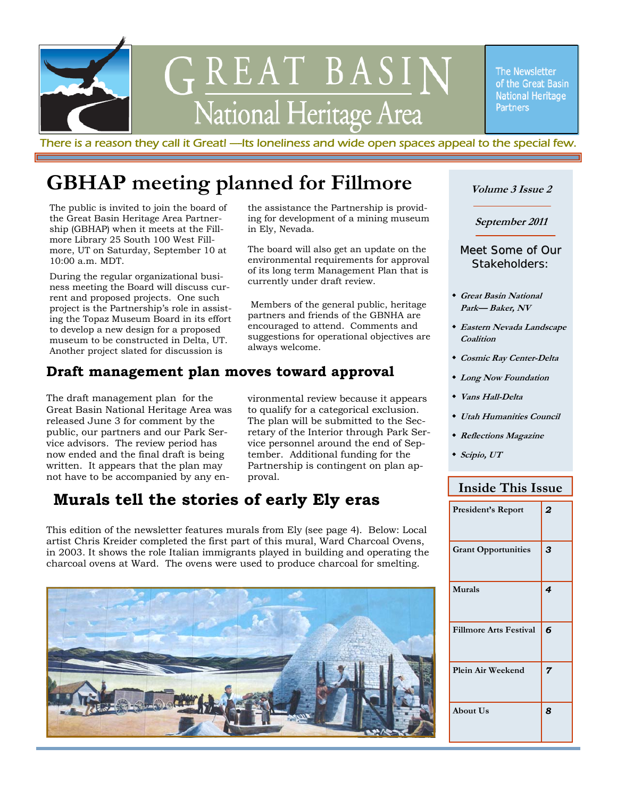

There is a reason they call it Great! —Its loneliness and wide open spaces appeal to the special few.

# **GBHAP meeting planned for Fillmore**

The public is invited to join the board of the Great Basin Heritage Area Partnership (GBHAP) when it meets at the Fillmore Library 25 South 100 West Fillmore, UT on Saturday, September 10 at 10:00 a.m. MDT.

During the regular organizational business meeting the Board will discuss current and proposed projects. One such project is the Partnership's role in assisting the Topaz Museum Board in its effort to develop a new design for a proposed museum to be constructed in Delta, UT. Another project slated for discussion is

the assistance the Partnership is providing for development of a mining museum in Ely, Nevada.

The board will also get an update on the environmental requirements for approval of its long term Management Plan that is currently under draft review.

 Members of the general public, heritage partners and friends of the GBNHA are encouraged to attend. Comments and suggestions for operational objectives are always welcome.

### **Draft management plan moves toward approval**

The draft management plan for the Great Basin National Heritage Area was released June 3 for comment by the public, our partners and our Park Service advisors. The review period has now ended and the final draft is being written. It appears that the plan may not have to be accompanied by any en-

vironmental review because it appears to qualify for a categorical exclusion. The plan will be submitted to the Secretary of the Interior through Park Service personnel around the end of September. Additional funding for the Partnership is contingent on plan approval.

## **Murals tell the stories of early Ely eras**

This edition of the newsletter features murals from Ely (see page 4). Below: Local artist Chris Kreider completed the first part of this mural, Ward Charcoal Ovens, in 2003. It shows the role Italian immigrants played in building and operating the charcoal ovens at Ward. The ovens were used to produce charcoal for smelting.



#### **Volume 3 Issue 2**

**September 2011** 

#### Meet Some of Our Stakeholders:

- **Great Basin National Park— Baker, NV**
- **Eastern Nevada Landscape Coalition**
- **Cosmic Ray Center-Delta**
- **Long Now Foundation**
- **Vans Hall-Delta**
- **Utah Humanities Council**
- **Reflections Magazine**
- **Scipio, UT**

#### **Inside This Issue**

| President's Report            | 2              |
|-------------------------------|----------------|
| <b>Grant Opportunities</b>    | 3              |
| <b>Murals</b>                 | 4              |
| <b>Fillmore Arts Festival</b> | 6              |
| Plein Air Weekend             | $\overline{7}$ |
| <b>About Us</b>               | 8              |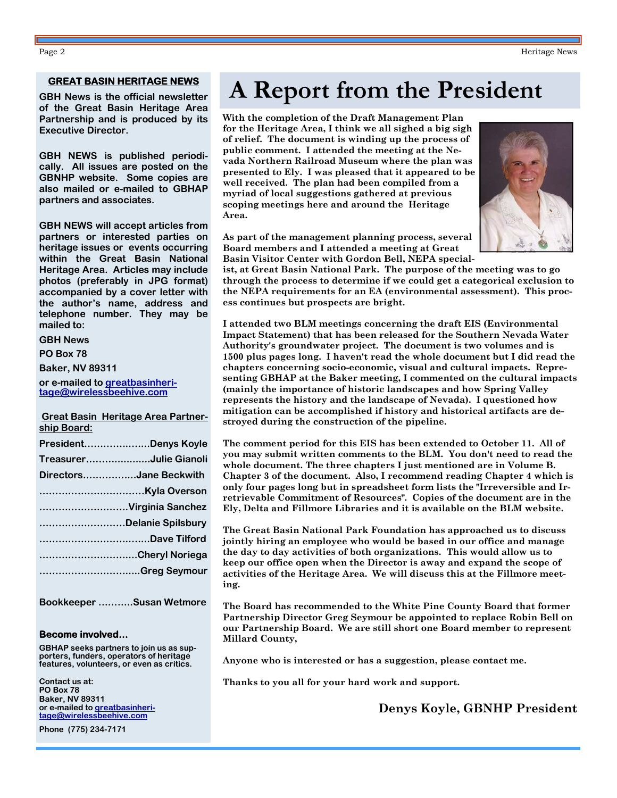#### **GREAT BASIN HERITAGE NEWS**

**GBH News is the official newsletter of the Great Basin Heritage Area Partnership and is produced by its Executive Director.** 

**GBH NEWS is published periodically. All issues are posted on the GBNHP website. Some copies are also mailed or e-mailed to GBHAP partners and associates.** 

**GBH NEWS will accept articles from partners or interested parties on heritage issues or events occurring within the Great Basin National Heritage Area. Articles may include photos (preferably in JPG format) accompanied by a cover letter with the author's name, address and telephone number. They may be mailed to:** 

**GBH News** 

**PO Box 78** 

**Baker, NV 89311** 

**or e-mailed to greatbasinheritage@wirelessbeehive.com**

 **Great Basin Heritage Area Partnership Board:**

|                        | PresidentDenys Koyle   |
|------------------------|------------------------|
|                        | TreasurerJulie Gianoli |
| DirectorsJane Beckwith |                        |
|                        |                        |
|                        | Virginia Sanchez       |
|                        | Delanie Spilsbury      |
|                        | Dave Tilford           |
|                        | Cheryl Noriega         |
|                        | Greg Seymour           |
|                        |                        |

**Bookkeeper ………..Susan Wetmore** 

#### **Become involved…**

**GBHAP seeks partners to join us as supporters, funders, operators of heritage features, volunteers, or even as critics.** 

**Contact us at: PO Box 78 Baker, NV 89311 or e-mailed to greatbasinheritage@wirelessbeehive.com**

**Phone (775) 234-7171** 

# **A Report from the President**

**With the completion of the Draft Management Plan for the Heritage Area, I think we all sighed a big sigh of relief. The document is winding up the process of public comment. I attended the meeting at the Nevada Northern Railroad Museum where the plan was presented to Ely. I was pleased that it appeared to be well received. The plan had been compiled from a myriad of local suggestions gathered at previous scoping meetings here and around the Heritage Area.** 

**As part of the management planning process, several Board members and I attended a meeting at Great Basin Visitor Center with Gordon Bell, NEPA special-**

**ist, at Great Basin National Park. The purpose of the meeting was to go through the process to determine if we could get a categorical exclusion to the NEPA requirements for an EA (environmental assessment). This process continues but prospects are bright.** 

**I attended two BLM meetings concerning the draft EIS (Environmental Impact Statement) that has been released for the Southern Nevada Water Authority's groundwater project. The document is two volumes and is 1500 plus pages long. I haven't read the whole document but I did read the chapters concerning socio-economic, visual and cultural impacts. Representing GBHAP at the Baker meeting, I commented on the cultural impacts (mainly the importance of historic landscapes and how Spring Valley represents the history and the landscape of Nevada). I questioned how mitigation can be accomplished if history and historical artifacts are destroyed during the construction of the pipeline.** 

**The comment period for this EIS has been extended to October 11. All of you may submit written comments to the BLM. You don't need to read the whole document. The three chapters I just mentioned are in Volume B. Chapter 3 of the document. Also, I recommend reading Chapter 4 which is only four pages long but in spreadsheet form lists the "Irreversible and Irretrievable Commitment of Resources". Copies of the document are in the Ely, Delta and Fillmore Libraries and it is available on the BLM website.** 

**The Great Basin National Park Foundation has approached us to discuss jointly hiring an employee who would be based in our office and manage the day to day activities of both organizations. This would allow us to keep our office open when the Director is away and expand the scope of activities of the Heritage Area. We will discuss this at the Fillmore meeting.** 

**The Board has recommended to the White Pine County Board that former Partnership Director Greg Seymour be appointed to replace Robin Bell on our Partnership Board. We are still short one Board member to represent Millard County,** 

**Anyone who is interested or has a suggestion, please contact me.** 

**Thanks to you all for your hard work and support.** 

#### **Denys Koyle, GBNHP President**

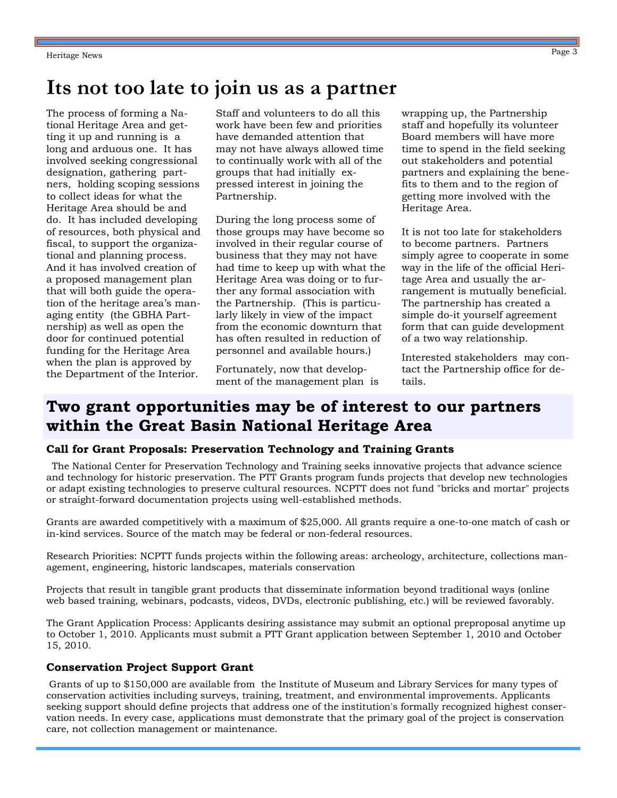# **Its not too late to join us as a partner**

The process of forming a National Heritage Area and getting it up and running is a long and arduous one. It has involved seeking congressional designation, gathering partners, holding scoping sessions to collect ideas for what the Heritage Area should be and do. It has included developing of resources, both physical and fiscal, to support the organizational and planning process. And it has involved creation of a proposed management plan that will both guide the operation of the heritage area's managing entity (the GBHA Partnership) as well as open the door for continued potential funding for the Heritage Area when the plan is approved by the Department of the Interior.

Staff and volunteers to do all this work have been few and priorities have demanded attention that may not have always allowed time to continually work with all of the groups that had initially expressed interest in joining the Partnership.

During the long process some of those groups may have become so involved in their regular course of business that they may not have had time to keep up with what the Heritage Area was doing or to further any formal association with the Partnership. (This is particularly likely in view of the impact from the economic downturn that has often resulted in reduction of personnel and available hours.)

Fortunately, now that development of the management plan is wrapping up, the Partnership staff and hopefully its volunteer Board members will have more time to spend in the field seeking out stakeholders and potential partners and explaining the benefits to them and to the region of getting more involved with the Heritage Area.

It is not too late for stakeholders to become partners. Partners simply agree to cooperate in some way in the life of the official Heritage Area and usually the arrangement is mutually beneficial. The partnership has created a simple do-it yourself agreement form that can guide development of a two way relationship.

Interested stakeholders may contact the Partnership office for details.

# **Two grant opportunities may be of interest to our partners within the Great Basin National Heritage Area**

#### **Call for Grant Proposals: Preservation Technology and Training Grants**

 The National Center for Preservation Technology and Training seeks innovative projects that advance science and technology for historic preservation. The PTT Grants program funds projects that develop new technologies or adapt existing technologies to preserve cultural resources. NCPTT does not fund "bricks and mortar" projects or straight-forward documentation projects using well-established methods.

Grants are awarded competitively with a maximum of \$25,000. All grants require a one-to-one match of cash or in-kind services. Source of the match may be federal or non-federal resources.

Research Priorities: NCPTT funds projects within the following areas: archeology, architecture, collections management, engineering, historic landscapes, materials conservation

Projects that result in tangible grant products that disseminate information beyond traditional ways (online web based training, webinars, podcasts, videos, DVDs, electronic publishing, etc.) will be reviewed favorably.

The Grant Application Process: Applicants desiring assistance may submit an optional preproposal anytime up to October 1, 2010. Applicants must submit a PTT Grant application between September 1, 2010 and October 15, 2010.

#### **Conservation Project Support Grant**

Grants of up to \$150,000 are available from the Institute of Museum and Library Services for many types of conservation activities including surveys, training, treatment, and environmental improvements. Applicants seeking support should define projects that address one of the institution's formally recognized highest conservation needs. In every case, applications must demonstrate that the primary goal of the project is conservation care, not collection management or maintenance.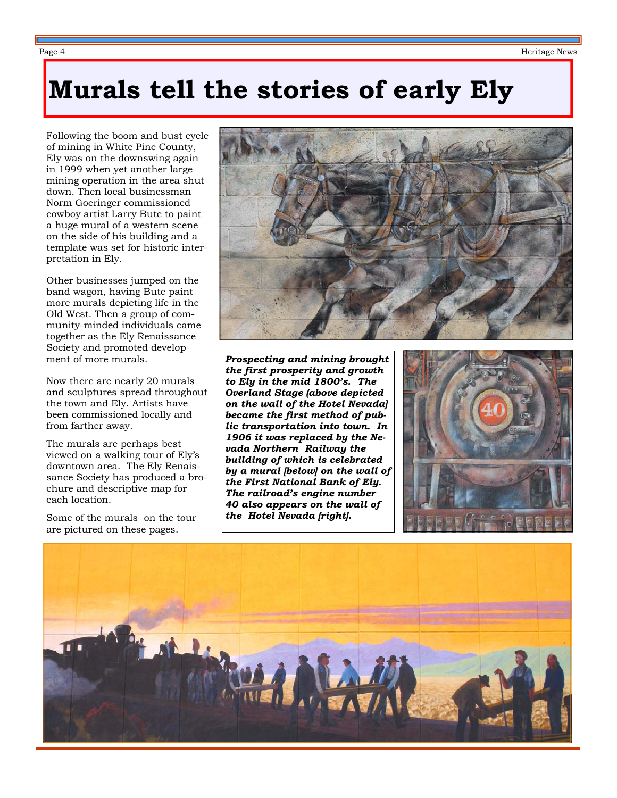# **Murals tell the stories of early Ely**

Following the boom and bust cycle of mining in White Pine County, Ely was on the downswing again in 1999 when yet another large mining operation in the area shut down. Then local businessman Norm Goeringer commissioned cowboy artist Larry Bute to paint a huge mural of a western scene on the side of his building and a template was set for historic interpretation in Ely.

Other businesses jumped on the band wagon, having Bute paint more murals depicting life in the Old West. Then a group of community-minded individuals came together as the Ely Renaissance Society and promoted development of more murals.

Now there are nearly 20 murals and sculptures spread throughout the town and Ely. Artists have been commissioned locally and from farther away.

The murals are perhaps best viewed on a walking tour of Ely's downtown area. The Ely Renaissance Society has produced a brochure and descriptive map for each location.

Some of the murals on the tour are pictured on these pages.



*Prospecting and mining brought the first prosperity and growth to Ely in the mid 1800's. The Overland Stage (above depicted on the wall of the Hotel Nevada] became the first method of public transportation into town. In 1906 it was replaced by the Nevada Northern Railway the building of which is celebrated by a mural [below] on the wall of the First National Bank of Ely. The railroad's engine number 40 also appears on the wall of the Hotel Nevada [right].* 



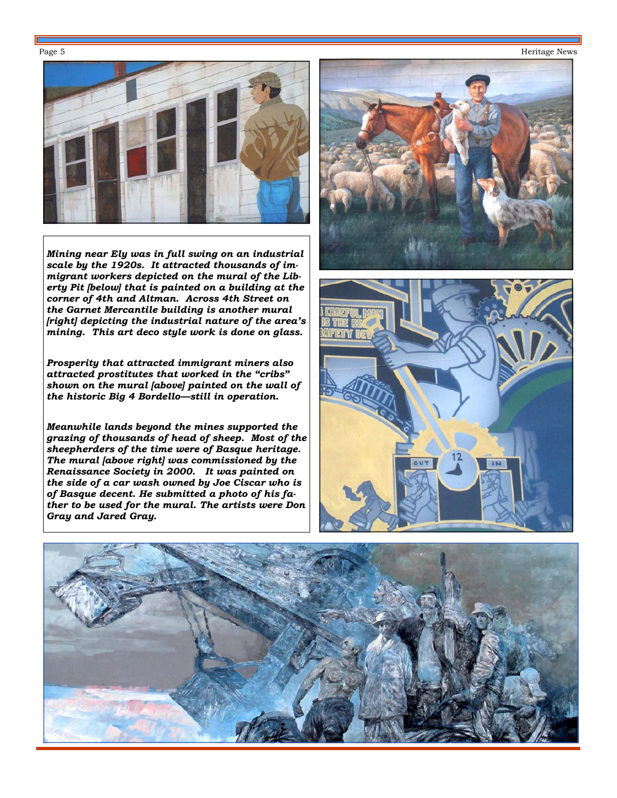#### Page 5 Heritage News



*Mining near Ely was in full swing on an industrial scale by the 1920s. It attracted thousands of immigrant workers depicted on the mural of the Liberty Pit [below] that is painted on a building at the corner of 4th and Altman. Across 4th Street on the Garnet Mercantile building is another mural [right] depicting the industrial nature of the area's mining. This art deco style work is done on glass.* 

*Prosperity that attracted immigrant miners also attracted prostitutes that worked in the "cribs" shown on the mural [above] painted on the wall of the historic Big 4 Bordello—still in operation.* 

*Meanwhile lands beyond the mines supported the grazing of thousands of head of sheep. Most of the sheepherders of the time were of Basque heritage. The mural [above right] was commissioned by the Renaissance Society in 2000. It was painted on the side of a car wash owned by Joe Ciscar who is of Basque decent. He submitted a photo of his father to be used for the mural. The artists were Don Gray and Jared Gray.* 





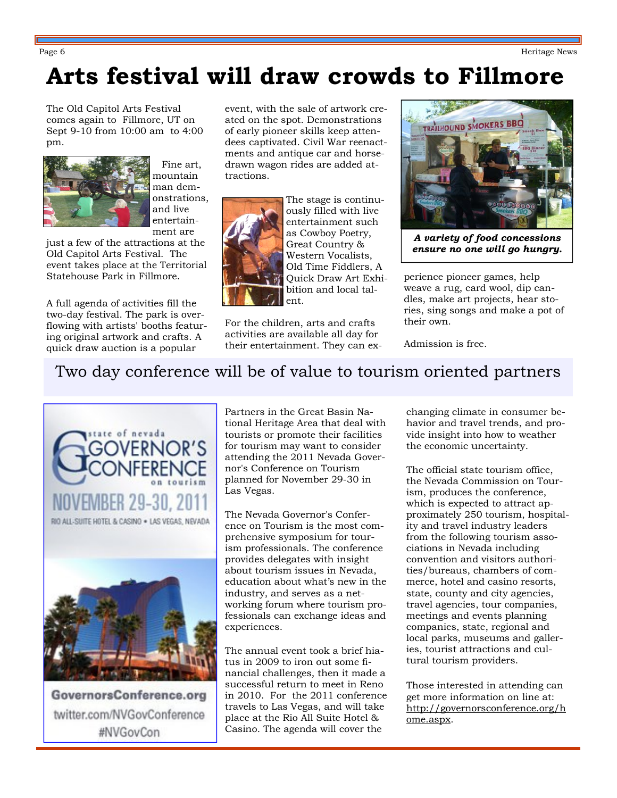# **Arts festival will draw crowds to Fillmore**

The Old Capitol Arts Festival comes again to Fillmore, UT on Sept 9-10 from 10:00 am to 4:00 pm.



 Fine art, mountain man demonstrations, and live entertainment are

just a few of the attractions at the Old Capitol Arts Festival. The event takes place at the Territorial Statehouse Park in Fillmore.

A full agenda of activities fill the two-day festival. The park is overflowing with artists' booths featuring original artwork and crafts. A quick draw auction is a popular

event, with the sale of artwork created on the spot. Demonstrations of early pioneer skills keep attendees captivated. Civil War reenactments and antique car and horsedrawn wagon rides are added attractions.



The stage is continuously filled with live entertainment such as Cowboy Poetry, Great Country & Western Vocalists, Old Time Fiddlers, A Quick Draw Art Exhibition and local talent.

For the children, arts and crafts activities are available all day for their entertainment. They can ex-



*A variety of food concessions ensure no one will go hungry.* 

perience pioneer games, help weave a rug, card wool, dip candles, make art projects, hear stories, sing songs and make a pot of their own.

Admission is free.

# Two day conference will be of value to tourism oriented partners



GovernorsConference.org twitter.com/NVGovConference #NVGovCon

Partners in the Great Basin National Heritage Area that deal with tourists or promote their facilities for tourism may want to consider attending the 2011 Nevada Governor's Conference on Tourism planned for November 29-30 in Las Vegas.

The Nevada Governor's Conference on Tourism is the most comprehensive symposium for tourism professionals. The conference provides delegates with insight about tourism issues in Nevada, education about what's new in the industry, and serves as a networking forum where tourism professionals can exchange ideas and experiences.

The annual event took a brief hiatus in 2009 to iron out some financial challenges, then it made a successful return to meet in Reno in 2010. For the 2011 conference travels to Las Vegas, and will take place at the Rio All Suite Hotel & Casino. The agenda will cover the

changing climate in consumer behavior and travel trends, and provide insight into how to weather the economic uncertainty.

The official state tourism office, the Nevada Commission on Tourism, produces the conference, which is expected to attract approximately 250 tourism, hospitality and travel industry leaders from the following tourism associations in Nevada including convention and visitors authorities/bureaus, chambers of commerce, hotel and casino resorts, state, county and city agencies, travel agencies, tour companies, meetings and events planning companies, state, regional and local parks, museums and galleries, tourist attractions and cultural tourism providers.

Those interested in attending can get more information on line at: http://governorsconference.org/h ome.aspx.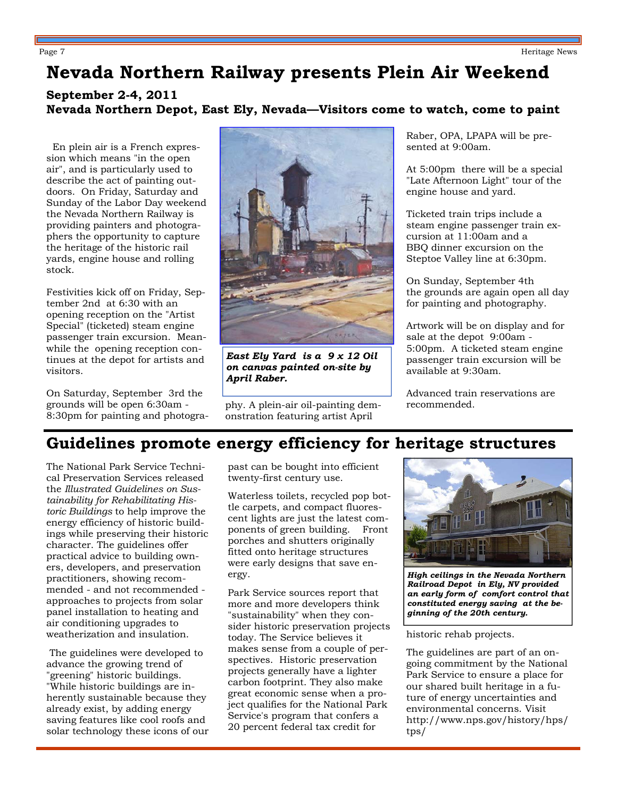Page 7 Ferritage News Page 7 Ferritage News Page 7 Ferritage News Page 7 Ferritage News Page 7 Ferritage News Page 7 Ferritage News Page 7 Ferritage News Page 7 Ferritage News Page 7 Ferritage News Page 7 Ferritage News Pa

# **Nevada Northern Railway presents Plein Air Weekend**

#### **September 2-4, 2011 Nevada Northern Depot, East Ely, Nevada—Visitors come to watch, come to paint**

 En plein air is a French expression which means "in the open air", and is particularly used to describe the act of painting outdoors. On Friday, Saturday and Sunday of the Labor Day weekend the Nevada Northern Railway is providing painters and photographers the opportunity to capture the heritage of the historic rail yards, engine house and rolling stock.

Festivities kick off on Friday, September 2nd at 6:30 with an opening reception on the "Artist Special" (ticketed) steam engine passenger train excursion. Meanwhile the opening reception continues at the depot for artists and visitors.

On Saturday, September 3rd the grounds will be open 6:30am - 8:30pm for painting and photogra-



*East Ely Yard is a 9 x 12 Oil on canvas painted on-site by April Raber.* 

phy. A plein-air oil-painting demonstration featuring artist April

Raber, OPA, LPAPA will be presented at 9:00am.

At 5:00pm there will be a special "Late Afternoon Light" tour of the engine house and yard.

Ticketed train trips include a steam engine passenger train excursion at 11:00am and a BBQ dinner excursion on the Steptoe Valley line at 6:30pm.

On Sunday, September 4th the grounds are again open all day for painting and photography.

Artwork will be on display and for sale at the depot 9:00am - 5:00pm. A ticketed steam engine passenger train excursion will be available at 9:30am.

Advanced train reservations are recommended.

# **Guidelines promote energy efficiency for heritage structures**

The National Park Service Technical Preservation Services released the *Illustrated Guidelines on Sustainability for Rehabilitating Historic Buildings* to help improve the energy efficiency of historic buildings while preserving their historic character. The guidelines offer practical advice to building owners, developers, and preservation practitioners, showing recommended - and not recommended approaches to projects from solar panel installation to heating and air conditioning upgrades to weatherization and insulation.

 The guidelines were developed to advance the growing trend of "greening" historic buildings. "While historic buildings are inherently sustainable because they already exist, by adding energy saving features like cool roofs and solar technology these icons of our past can be bought into efficient twenty-first century use.

Waterless toilets, recycled pop bottle carpets, and compact fluorescent lights are just the latest components of green building. Front porches and shutters originally fitted onto heritage structures were early designs that save energy.

Park Service sources report that more and more developers think "sustainability" when they consider historic preservation projects today. The Service believes it makes sense from a couple of perspectives. Historic preservation projects generally have a lighter carbon footprint. They also make great economic sense when a project qualifies for the National Park Service's program that confers a 20 percent federal tax credit for



*High ceilings in the Nevada Northern Railroad Depot in Ely, NV provided an early form of comfort control that constituted energy saving at the beginning of the 20th century.* 

historic rehab projects.

The guidelines are part of an ongoing commitment by the National Park Service to ensure a place for our shared built heritage in a future of energy uncertainties and environmental concerns. Visit http://www.nps.gov/history/hps/ tps/